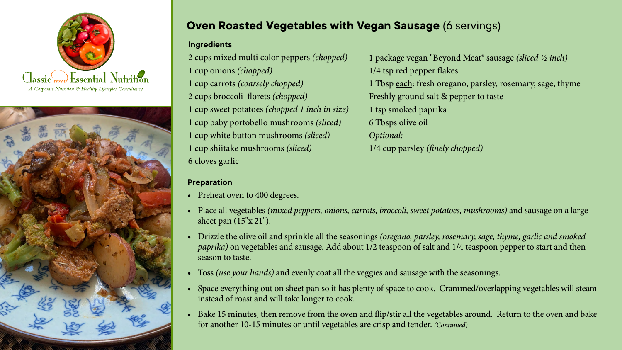



## **Oven Roasted Vegetables with Vegan Sausage (6 servings)**

## **Ingredients**

2 cups mixed multi color peppers *(chopped)* 1 cup onions *(chopped)* 1 cup carrots *(coarsely chopped)* 2 cups broccoli florets *(chopped)* 1 cup sweet potatoes *(chopped 1 inch in size)* 1 cup baby portobello mushrooms *(sliced)* 1 cup white button mushrooms *(sliced)* 1 cup shiitake mushrooms *(sliced)* 6 cloves garlic

## **Preparation**

- Preheat oven to 400 degrees.
- • Place all vegetables *(mixed peppers, onions, carrots, broccoli, sweet potatoes, mushrooms)* and sausage on a large sheet pan (15"x 21").
- • Drizzle the olive oil and sprinkle all the seasonings *(oregano, parsley, rosemary, sage, thyme, garlic and smoked paprika)* on vegetables and sausage. Add about 1/2 teaspoon of salt and 1/4 teaspoon pepper to start and then season to taste.
- • Toss *(use your hands)* and evenly coat all the veggies and sausage with the seasonings.
- Space everything out on sheet pan so it has plenty of space to cook. Crammed/overlapping vegetables will steam instead of roast and will take longer to cook.
- Bake 15 minutes, then remove from the oven and flip/stir all the vegetables around. Return to the oven and bake for another 10-15 minutes or until vegetables are crisp and tender. *(Continued)*

1 package vegan "Beyond Meat® sausage *(sliced ½ inch)*  1/4 tsp red pepper flakes 1 Tbsp each: fresh oregano, parsley, rosemary, sage, thyme Freshly ground salt & pepper to taste 1 tsp smoked paprika 6 Tbsps olive oil *Optional:* 1/4 cup parsley *(finely chopped)*